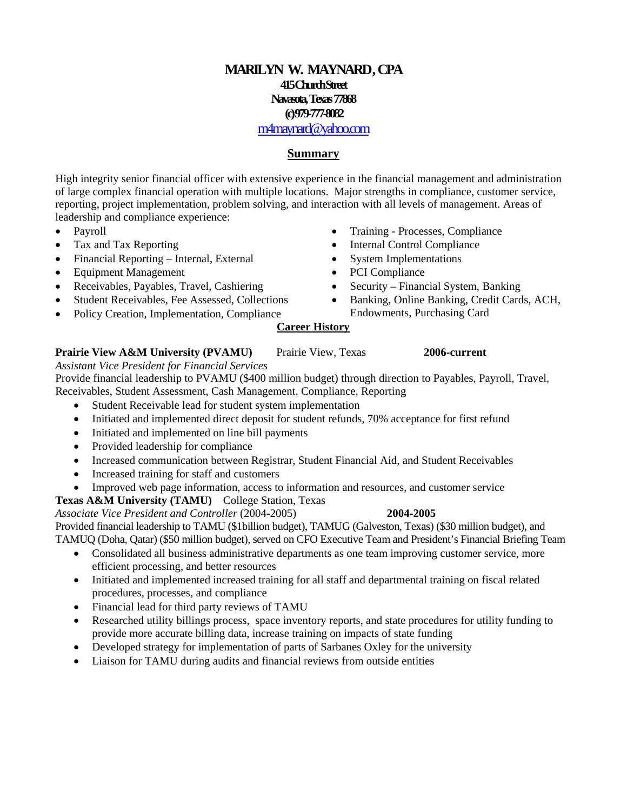# **MARILYN W. MAYNARD, CPA 415 Church Street Navasota, Texas 77868 (c) 979-777-8082**

## [m4maynard@yahoo.com](mailto:m4maynard@yahoo.com)

### **Summary**

High integrity senior financial officer with extensive experience in the financial management and administration of large complex financial operation with multiple locations. Major strengths in compliance, customer service, reporting, project implementation, problem solving, and interaction with all levels of management. Areas of leadership and compliance experience:

- Payroll
- Tax and Tax Reporting
- Financial Reporting Internal, External
- Equipment Management
- Receivables, Payables, Travel, Cashiering
- Student Receivables, Fee Assessed, Collections
- Policy Creation, Implementation, Compliance
- Training Processes, Compliance
- Internal Control Compliance
- System Implementations
- PCI Compliance
- Security Financial System, Banking
- Banking, Online Banking, Credit Cards, ACH, Endowments, Purchasing Card

### **Career History**

### **Prairie View A&M University (PVAMU)** Prairie View, Texas **2006-current**

*Assistant Vice President for Financial Services* 

Provide financial leadership to PVAMU (\$400 million budget) through direction to Payables, Payroll, Travel, Receivables, Student Assessment, Cash Management, Compliance, Reporting

- Student Receivable lead for student system implementation
- Initiated and implemented direct deposit for student refunds, 70% acceptance for first refund
- Initiated and implemented on line bill payments
- Provided leadership for compliance
- Increased communication between Registrar, Student Financial Aid, and Student Receivables
- Increased training for staff and customers
- Improved web page information, access to information and resources, and customer service
- **Texas A&M University (TAMU)** College Station, Texas

### *Associate Vice President and Controller* (2004-2005) **2004-2005**

Provided financial leadership to TAMU (\$1billion budget), TAMUG (Galveston, Texas) (\$30 million budget), and TAMUQ (Doha, Qatar) (\$50 million budget), served on CFO Executive Team and President's Financial Briefing Team

- Consolidated all business administrative departments as one team improving customer service, more efficient processing, and better resources
- Initiated and implemented increased training for all staff and departmental training on fiscal related procedures, processes, and compliance
- Financial lead for third party reviews of TAMU
- Researched utility billings process, space inventory reports, and state procedures for utility funding to provide more accurate billing data, increase training on impacts of state funding
- Developed strategy for implementation of parts of Sarbanes Oxley for the university
- Liaison for TAMU during audits and financial reviews from outside entities